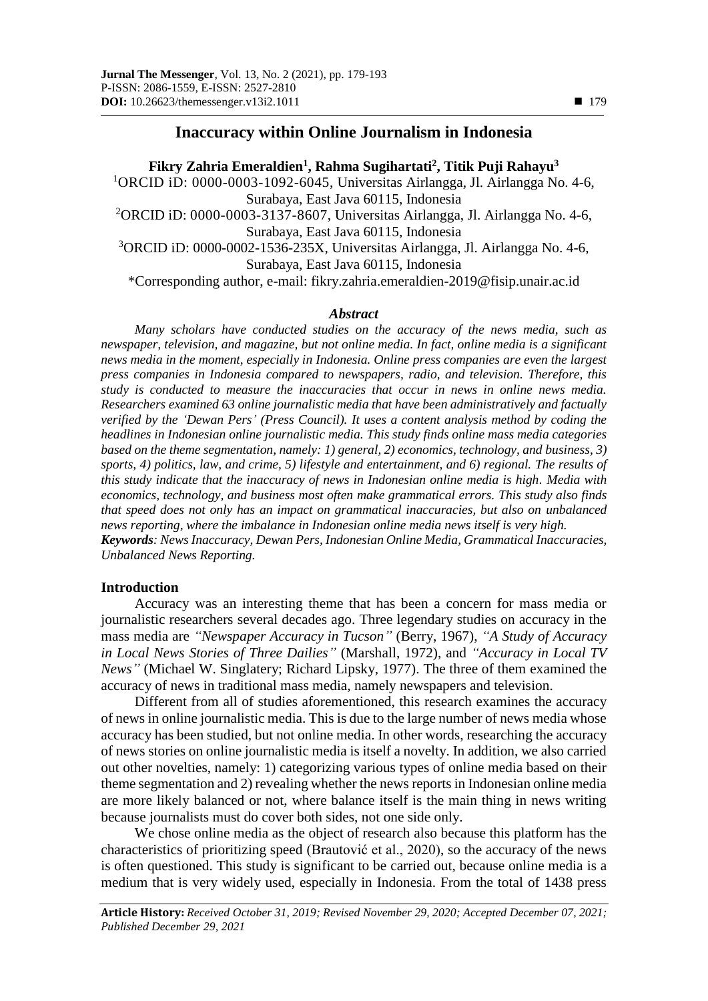### **Inaccuracy within Online Journalism in Indonesia**

**Fikry Zahria Emeraldien<sup>1</sup> , Rahma Sugihartati<sup>2</sup> , Titik Puji Rahayu<sup>3</sup>** <sup>1</sup>ORCID iD: 0000-0003-1092-6045, Universitas Airlangga, Jl. Airlangga No. 4-6, Surabaya, East Java 60115, Indonesia <sup>2</sup>ORCID iD: 0000-0003-3137-8607, Universitas Airlangga, Jl. Airlangga No. 4-6, Surabaya, East Java 60115, Indonesia <sup>3</sup>ORCID iD: [0000-0002-1536-235X,](https://orcid.org/0000-0002-1536-235X) Universitas Airlangga, Jl. Airlangga No. 4-6, Surabaya, East Java 60115, Indonesia \*Corresponding author, e-mail: fikry.zahria.emeraldien-2019@fisip.unair.ac.id

#### *Abstract*

*Many scholars have conducted studies on the accuracy of the news media, such as newspaper, television, and magazine, but not online media. In fact, online media is a significant news media in the moment, especially in Indonesia. Online press companies are even the largest press companies in Indonesia compared to newspapers, radio, and television. Therefore, this study is conducted to measure the inaccuracies that occur in news in online news media. Researchers examined 63 online journalistic media that have been administratively and factually verified by the 'Dewan Pers' (Press Council). It uses a content analysis method by coding the headlines in Indonesian online journalistic media. This study finds online mass media categories based on the theme segmentation, namely: 1) general, 2) economics, technology, and business, 3) sports, 4) politics, law, and crime, 5) lifestyle and entertainment, and 6) regional. The results of this study indicate that the inaccuracy of news in Indonesian online media is high. Media with economics, technology, and business most often make grammatical errors. This study also finds that speed does not only has an impact on grammatical inaccuracies, but also on unbalanced news reporting, where the imbalance in Indonesian online media news itself is very high. Keywords: News Inaccuracy, Dewan Pers, Indonesian Online Media, Grammatical Inaccuracies, Unbalanced News Reporting.*

### **Introduction**

Accuracy was an interesting theme that has been a concern for mass media or journalistic researchers several decades ago. Three legendary studies on accuracy in the mass media are *"Newspaper Accuracy in Tucson"* (Berry, 1967), *"A Study of Accuracy in Local News Stories of Three Dailies"* (Marshall, 1972), and *"Accuracy in Local TV News"* (Michael W. Singlatery; Richard Lipsky, 1977). The three of them examined the accuracy of news in traditional mass media, namely newspapers and television.

Different from all of studies aforementioned, this research examines the accuracy of news in online journalistic media. This is due to the large number of news media whose accuracy has been studied, but not online media. In other words, researching the accuracy of news stories on online journalistic media is itself a novelty. In addition, we also carried out other novelties, namely: 1) categorizing various types of online media based on their theme segmentation and 2) revealing whether the news reports in Indonesian online media are more likely balanced or not, where balance itself is the main thing in news writing because journalists must do cover both sides, not one side only.

We chose online media as the object of research also because this platform has the characteristics of prioritizing speed (Brautović et al., 2020), so the accuracy of the news is often questioned. This study is significant to be carried out, because online media is a medium that is very widely used, especially in Indonesia. From the total of 1438 press

**Article History:** *Received October 31, 2019; Revised November 29, 2020; Accepted December 07, 2021; Published December 29, 2021*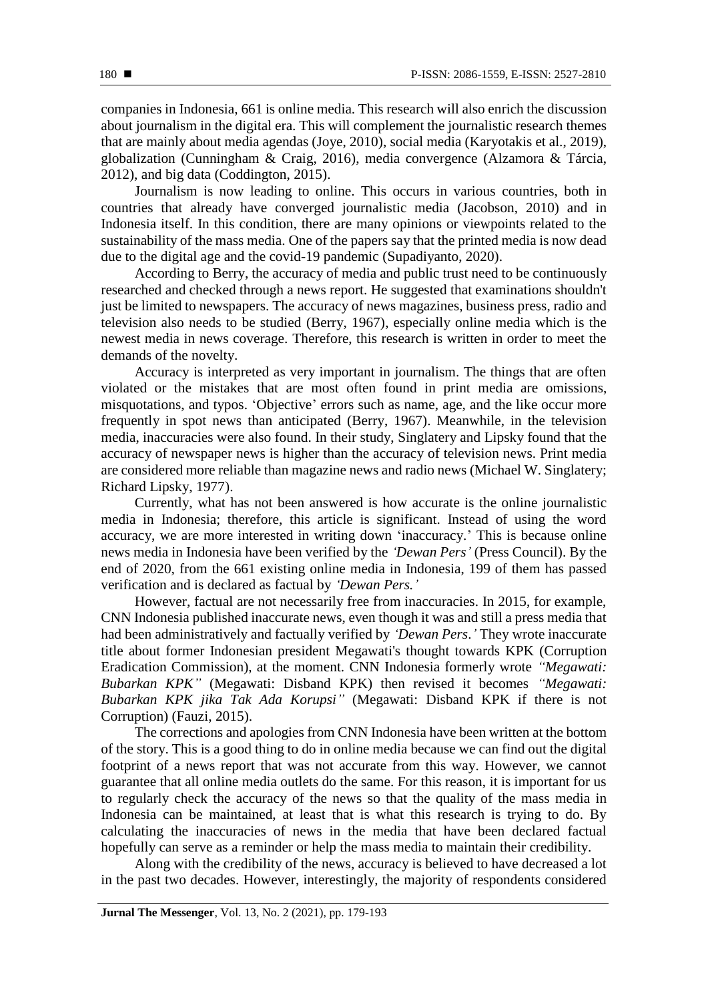companies in Indonesia, 661 is online media. This research will also enrich the discussion about journalism in the digital era. This will complement the journalistic research themes that are mainly about media agendas (Joye, 2010), social media (Karyotakis et al., 2019), globalization (Cunningham & Craig, 2016), media convergence (Alzamora & Tárcia, 2012), and big data (Coddington, 2015).

Journalism is now leading to online. This occurs in various countries, both in countries that already have converged journalistic media (Jacobson, 2010) and in Indonesia itself. In this condition, there are many opinions or viewpoints related to the sustainability of the mass media. One of the papers say that the printed media is now dead due to the digital age and the covid-19 pandemic (Supadiyanto, 2020).

According to Berry, the accuracy of media and public trust need to be continuously researched and checked through a news report. He suggested that examinations shouldn't just be limited to newspapers. The accuracy of news magazines, business press, radio and television also needs to be studied (Berry, 1967), especially online media which is the newest media in news coverage. Therefore, this research is written in order to meet the demands of the novelty.

Accuracy is interpreted as very important in journalism. The things that are often violated or the mistakes that are most often found in print media are omissions, misquotations, and typos. 'Objective' errors such as name, age, and the like occur more frequently in spot news than anticipated (Berry, 1967). Meanwhile, in the television media, inaccuracies were also found. In their study, Singlatery and Lipsky found that the accuracy of newspaper news is higher than the accuracy of television news. Print media are considered more reliable than magazine news and radio news (Michael W. Singlatery; Richard Lipsky, 1977).

Currently, what has not been answered is how accurate is the online journalistic media in Indonesia; therefore, this article is significant. Instead of using the word accuracy, we are more interested in writing down 'inaccuracy.' This is because online news media in Indonesia have been verified by the *'Dewan Pers'* (Press Council). By the end of 2020, from the 661 existing online media in Indonesia, 199 of them has passed verification and is declared as factual by *'Dewan Pers.'*

However, factual are not necessarily free from inaccuracies. In 2015, for example, CNN Indonesia published inaccurate news, even though it was and still a press media that had been administratively and factually verified by *'Dewan Pers*.*'* They wrote inaccurate title about former Indonesian president Megawati's thought towards KPK (Corruption Eradication Commission), at the moment. CNN Indonesia formerly wrote *"Megawati: Bubarkan KPK"* (Megawati: Disband KPK) then revised it becomes *"Megawati: Bubarkan KPK jika Tak Ada Korupsi"* (Megawati: Disband KPK if there is not Corruption) (Fauzi, 2015).

The corrections and apologies from CNN Indonesia have been written at the bottom of the story. This is a good thing to do in online media because we can find out the digital footprint of a news report that was not accurate from this way. However, we cannot guarantee that all online media outlets do the same. For this reason, it is important for us to regularly check the accuracy of the news so that the quality of the mass media in Indonesia can be maintained, at least that is what this research is trying to do. By calculating the inaccuracies of news in the media that have been declared factual hopefully can serve as a reminder or help the mass media to maintain their credibility.

Along with the credibility of the news, accuracy is believed to have decreased a lot in the past two decades. However, interestingly, the majority of respondents considered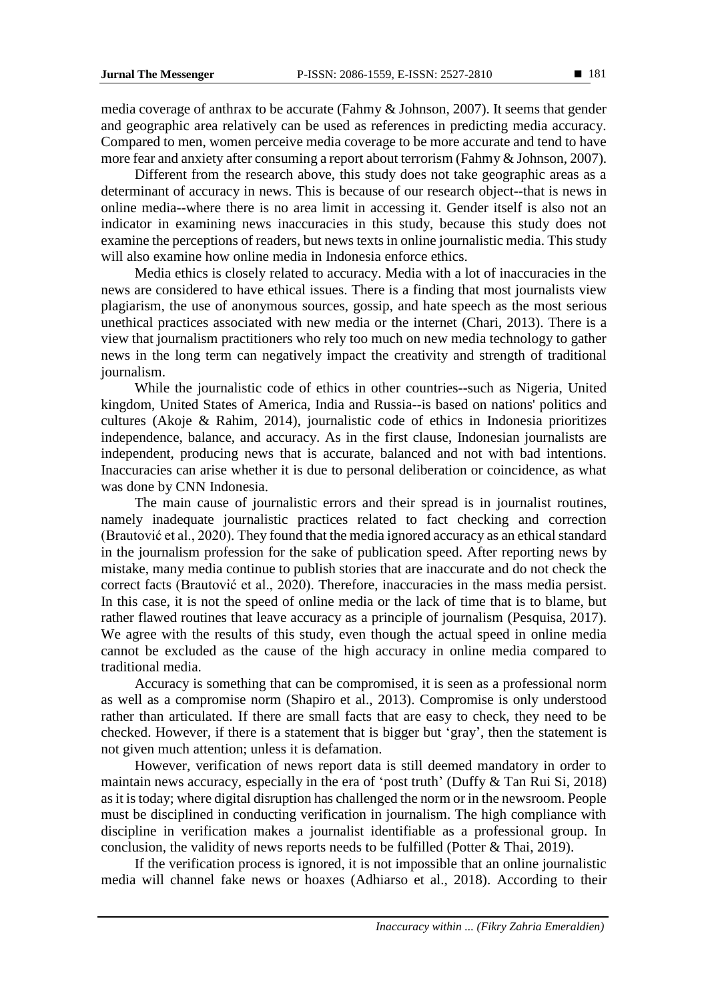media coverage of anthrax to be accurate (Fahmy & Johnson, 2007). It seems that gender and geographic area relatively can be used as references in predicting media accuracy. Compared to men, women perceive media coverage to be more accurate and tend to have more fear and anxiety after consuming a report about terrorism (Fahmy & Johnson, 2007).

Different from the research above, this study does not take geographic areas as a determinant of accuracy in news. This is because of our research object--that is news in online media--where there is no area limit in accessing it. Gender itself is also not an indicator in examining news inaccuracies in this study, because this study does not examine the perceptions of readers, but news texts in online journalistic media. This study will also examine how online media in Indonesia enforce ethics.

Media ethics is closely related to accuracy. Media with a lot of inaccuracies in the news are considered to have ethical issues. There is a finding that most journalists view plagiarism, the use of anonymous sources, gossip, and hate speech as the most serious unethical practices associated with new media or the internet (Chari, 2013). There is a view that journalism practitioners who rely too much on new media technology to gather news in the long term can negatively impact the creativity and strength of traditional journalism.

While the journalistic code of ethics in other countries--such as Nigeria, United kingdom, United States of America, India and Russia--is based on nations' politics and cultures (Akoje & Rahim, 2014), journalistic code of ethics in Indonesia prioritizes independence, balance, and accuracy. As in the first clause, Indonesian journalists are independent, producing news that is accurate, balanced and not with bad intentions. Inaccuracies can arise whether it is due to personal deliberation or coincidence, as what was done by CNN Indonesia.

The main cause of journalistic errors and their spread is in journalist routines, namely inadequate journalistic practices related to fact checking and correction (Brautović et al., 2020). They found that the media ignored accuracy as an ethical standard in the journalism profession for the sake of publication speed. After reporting news by mistake, many media continue to publish stories that are inaccurate and do not check the correct facts (Brautović et al., 2020). Therefore, inaccuracies in the mass media persist. In this case, it is not the speed of online media or the lack of time that is to blame, but rather flawed routines that leave accuracy as a principle of journalism (Pesquisa, 2017). We agree with the results of this study, even though the actual speed in online media cannot be excluded as the cause of the high accuracy in online media compared to traditional media.

Accuracy is something that can be compromised, it is seen as a professional norm as well as a compromise norm (Shapiro et al., 2013). Compromise is only understood rather than articulated. If there are small facts that are easy to check, they need to be checked. However, if there is a statement that is bigger but 'gray', then the statement is not given much attention; unless it is defamation.

However, verification of news report data is still deemed mandatory in order to maintain news accuracy, especially in the era of 'post truth' (Duffy & Tan Rui Si, 2018) as it is today; where digital disruption has challenged the norm or in the newsroom. People must be disciplined in conducting verification in journalism. The high compliance with discipline in verification makes a journalist identifiable as a professional group. In conclusion, the validity of news reports needs to be fulfilled (Potter & Thai, 2019).

If the verification process is ignored, it is not impossible that an online journalistic media will channel fake news or hoaxes (Adhiarso et al., 2018). According to their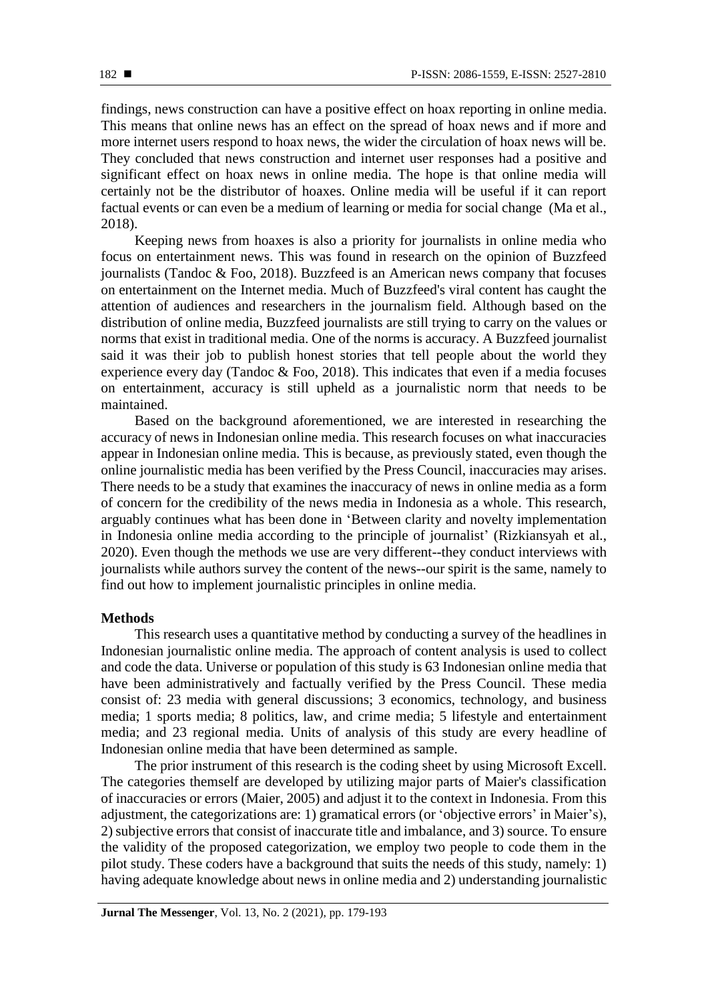findings, news construction can have a positive effect on hoax reporting in online media. This means that online news has an effect on the spread of hoax news and if more and more internet users respond to hoax news, the wider the circulation of hoax news will be. They concluded that news construction and internet user responses had a positive and significant effect on hoax news in online media. The hope is that online media will certainly not be the distributor of hoaxes. Online media will be useful if it can report factual events or can even be a medium of learning or media for social change (Ma et al., 2018).

Keeping news from hoaxes is also a priority for journalists in online media who focus on entertainment news. This was found in research on the opinion of Buzzfeed journalists (Tandoc & Foo, 2018). Buzzfeed is an American news company that focuses on entertainment on the Internet media. Much of Buzzfeed's viral content has caught the attention of audiences and researchers in the journalism field. Although based on the distribution of online media, Buzzfeed journalists are still trying to carry on the values or norms that exist in traditional media. One of the norms is accuracy. A Buzzfeed journalist said it was their job to publish honest stories that tell people about the world they experience every day (Tandoc  $\&$  Foo, 2018). This indicates that even if a media focuses on entertainment, accuracy is still upheld as a journalistic norm that needs to be maintained.

Based on the background aforementioned, we are interested in researching the accuracy of news in Indonesian online media. This research focuses on what inaccuracies appear in Indonesian online media. This is because, as previously stated, even though the online journalistic media has been verified by the Press Council, inaccuracies may arises. There needs to be a study that examines the inaccuracy of news in online media as a form of concern for the credibility of the news media in Indonesia as a whole. This research, arguably continues what has been done in 'Between clarity and novelty implementation in Indonesia online media according to the principle of journalist' (Rizkiansyah et al., 2020). Even though the methods we use are very different--they conduct interviews with journalists while authors survey the content of the news--our spirit is the same, namely to find out how to implement journalistic principles in online media.

### **Methods**

This research uses a quantitative method by conducting a survey of the headlines in Indonesian journalistic online media. The approach of content analysis is used to collect and code the data. Universe or population of this study is 63 Indonesian online media that have been administratively and factually verified by the Press Council. These media consist of: 23 media with general discussions; 3 economics, technology, and business media; 1 sports media; 8 politics, law, and crime media; 5 lifestyle and entertainment media; and 23 regional media. Units of analysis of this study are every headline of Indonesian online media that have been determined as sample.

The prior instrument of this research is the coding sheet by using Microsoft Excell. The categories themself are developed by utilizing major parts of Maier's classification of inaccuracies or errors (Maier, 2005) and adjust it to the context in Indonesia. From this adjustment, the categorizations are: 1) gramatical errors (or 'objective errors' in Maier's), 2) subjective errors that consist of inaccurate title and imbalance, and 3) source. To ensure the validity of the proposed categorization, we employ two people to code them in the pilot study. These coders have a background that suits the needs of this study, namely: 1) having adequate knowledge about news in online media and 2) understanding journalistic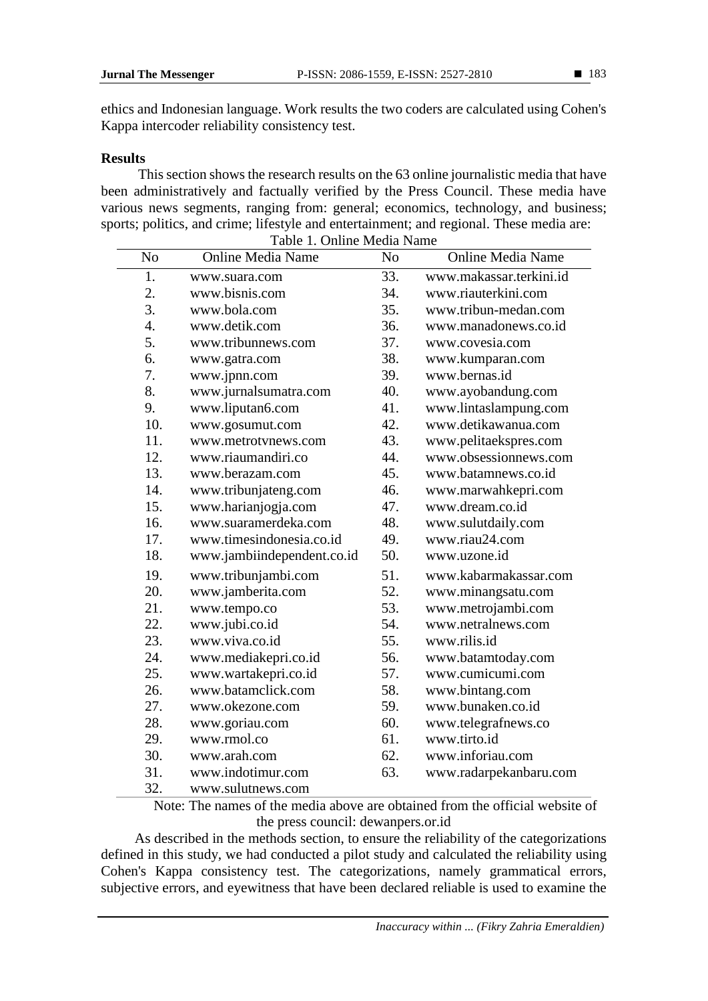ethics and Indonesian language. Work results the two coders are calculated using Cohen's Kappa intercoder reliability consistency test.

### **Results**

This section shows the research results on the 63 online journalistic media that have been administratively and factually verified by the Press Council. These media have various news segments, ranging from: general; economics, technology, and business; sports; politics, and crime; lifestyle and entertainment; and regional. These media are: Table 1. Online Media Name

| N <sub>o</sub>   | Table 1. Omine ivielia ivanie<br><b>Online Media Name</b> | N <sub>o</sub> | Online Media Name       |
|------------------|-----------------------------------------------------------|----------------|-------------------------|
| 1.               | www.suara.com                                             | 33.            | www.makassar.terkini.id |
| 2.               | www.bisnis.com                                            | 34.            | www.riauterkini.com     |
| 3.               | www.bola.com                                              | 35.            | www.tribun-medan.com    |
| $\overline{4}$ . | www.detik.com                                             | 36.            | www.manadonews.co.id    |
| 5.               | www.tribunnews.com                                        | 37.            | www.covesia.com         |
| 6.               | www.gatra.com                                             | 38.            | www.kumparan.com        |
| 7.               | www.jpnn.com                                              | 39.            | www.bernas.id           |
| 8.               | www.jurnalsumatra.com                                     | 40.            | www.ayobandung.com      |
| 9.               | www.liputan6.com                                          | 41.            | www.lintaslampung.com   |
| 10.              | www.gosumut.com                                           | 42.            | www.detikawanua.com     |
| 11.              | www.metrotvnews.com                                       | 43.            | www.pelitaekspres.com   |
| 12.              | www.riaumandiri.co                                        | 44.            | www.obsessionnews.com   |
| 13.              | www.berazam.com                                           | 45.            | www.batamnews.co.id     |
| 14.              | www.tribunjateng.com                                      | 46.            | www.marwahkepri.com     |
| 15.              | www.harianjogja.com                                       | 47.            | www.dream.co.id         |
| 16.              | www.suaramerdeka.com                                      | 48.            | www.sulutdaily.com      |
| 17.              | www.timesindonesia.co.id                                  | 49.            | www.riau24.com          |
| 18.              | www.jambiindependent.co.id                                | 50.            | www.uzone.id            |
| 19.              | www.tribunjambi.com                                       | 51.            | www.kabarmakassar.com   |
| 20.              | www.jamberita.com                                         | 52.            | www.minangsatu.com      |
| 21.              | www.tempo.co                                              | 53.            | www.metrojambi.com      |
| 22.              | www.jubi.co.id                                            | 54.            | www.netralnews.com      |
| 23.              | www.viva.co.id                                            | 55.            | www.rilis.id            |
| 24.              | www.mediakepri.co.id                                      | 56.            | www.batamtoday.com      |
| 25.              | www.wartakepri.co.id                                      | 57.            | www.cumicumi.com        |
| 26.              | www.batamclick.com                                        | 58.            | www.bintang.com         |
| 27.              | www.okezone.com                                           | 59.            | www.bunaken.co.id       |
| 28.              | www.goriau.com                                            | 60.            | www.telegrafnews.co     |
| 29.              | www.rmol.co                                               | 61.            | www.tirto.id            |
| 30.              | www.arah.com                                              | 62.            | www.inforiau.com        |
| 31.              | www.indotimur.com                                         | 63.            | www.radarpekanbaru.com  |
| 32.              | www.sulutnews.com                                         |                |                         |

Note: The names of the media above are obtained from the official website of the press council: dewanpers.or.id

As described in the methods section, to ensure the reliability of the categorizations defined in this study, we had conducted a pilot study and calculated the reliability using Cohen's Kappa consistency test. The categorizations, namely grammatical errors, subjective errors, and eyewitness that have been declared reliable is used to examine the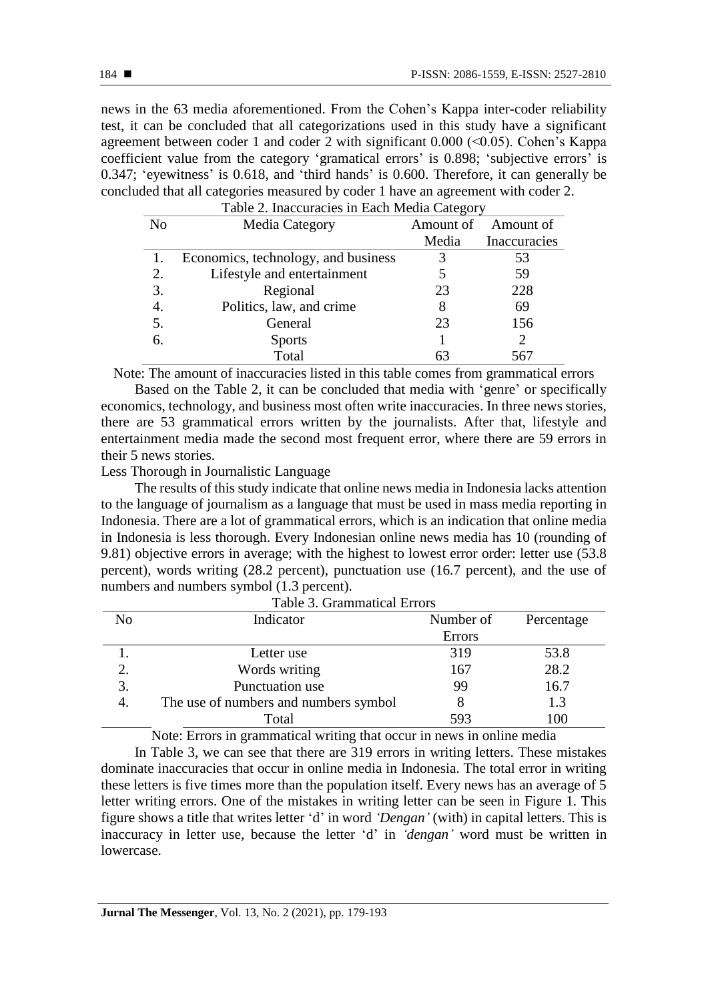news in the 63 media aforementioned. From the Cohen's Kappa inter-coder reliability test, it can be concluded that all categorizations used in this study have a significant agreement between coder 1 and coder 2 with significant 0.000 (<0.05). Cohen's Kappa coefficient value from the category 'gramatical errors' is 0.898; 'subjective errors' is 0.347; 'eyewitness' is 0.618, and 'third hands' is 0.600. Therefore, it can generally be concluded that all categories measured by coder 1 have an agreement with coder 2. Table 2. Inaccuracies in Each Media Category

| N <sub>o</sub> | Table 2. maccuracies in Each Media Category<br>Media Category | Amount of | Amount of    |
|----------------|---------------------------------------------------------------|-----------|--------------|
|                |                                                               | Media     | Inaccuracies |
|                | Economics, technology, and business                           |           | 53           |
| 2.             | Lifestyle and entertainment                                   |           | 59           |
| 3.             | Regional                                                      | 23        | 228          |
| 4.             | Politics, law, and crime                                      | 8         | 69           |
| 5.             | General                                                       | 23        | 156          |
| 6.             | <b>Sports</b>                                                 |           |              |
|                | Total                                                         | 63        | 567          |

Note: The amount of inaccuracies listed in this table comes from grammatical errors

Based on the Table 2, it can be concluded that media with 'genre' or specifically economics, technology, and business most often write inaccuracies. In three news stories, there are 53 grammatical errors written by the journalists. After that, lifestyle and entertainment media made the second most frequent error, where there are 59 errors in their 5 news stories.

Less Thorough in Journalistic Language

The results of this study indicate that online news media in Indonesia lacks attention to the language of journalism as a language that must be used in mass media reporting in Indonesia. There are a lot of grammatical errors, which is an indication that online media in Indonesia is less thorough. Every Indonesian online news media has 10 (rounding of 9.81) objective errors in average; with the highest to lowest error order: letter use (53.8 percent), words writing (28.2 percent), punctuation use (16.7 percent), and the use of numbers and numbers symbol (1.3 percent).

| Tabic 9. Grammatical Effors |                                       |               |            |
|-----------------------------|---------------------------------------|---------------|------------|
| N <sub>0</sub>              | Indicator                             | Number of     | Percentage |
|                             |                                       | <b>Errors</b> |            |
|                             | Letter use                            | 319           | 53.8       |
| 2.                          | Words writing                         | 167           | 28.2       |
| 3.                          | Punctuation use                       | 99            | 16.7       |
| $\overline{4}$              | The use of numbers and numbers symbol |               | 1.3        |
|                             | Total                                 | 593           | 100        |

Table 3. Grammatical Errors

Note: Errors in grammatical writing that occur in news in online media

In Table 3, we can see that there are 319 errors in writing letters. These mistakes dominate inaccuracies that occur in online media in Indonesia. The total error in writing these letters is five times more than the population itself. Every news has an average of 5 letter writing errors. One of the mistakes in writing letter can be seen in Figure 1. This figure shows a title that writes letter 'd' in word *'Dengan'* (with) in capital letters. This is inaccuracy in letter use, because the letter 'd' in *'dengan'* word must be written in lowercase.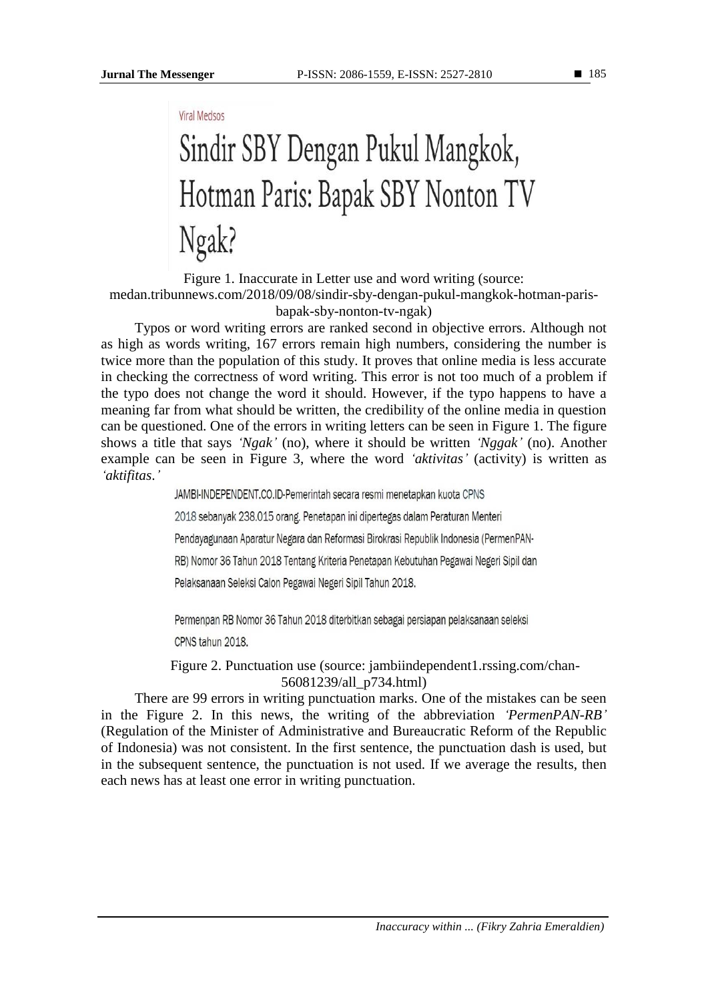**Viral Medsos** 

# Sindir SBY Dengan Pukul Mangkok, Hotman Paris: Bapak SBY Nonton TV Ngak?

Figure 1. Inaccurate in Letter use and word writing (source: medan.tribunnews.com/2018/09/08/sindir-sby-dengan-pukul-mangkok-hotman-parisbapak-sby-nonton-tv-ngak)

Typos or word writing errors are ranked second in objective errors. Although not as high as words writing, 167 errors remain high numbers, considering the number is twice more than the population of this study. It proves that online media is less accurate in checking the correctness of word writing. This error is not too much of a problem if the typo does not change the word it should. However, if the typo happens to have a meaning far from what should be written, the credibility of the online media in question can be questioned. One of the errors in writing letters can be seen in Figure 1. The figure shows a title that says *'Ngak'* (no), where it should be written *'Nggak'* (no). Another example can be seen in Figure 3, where the word *'aktivitas'* (activity) is written as *'aktifitas*.*'*

JAMBI-INDEPENDENT.CO.ID-Pemerintah secara resmi menetapkan kuota CPNS

2018 sebanyak 238.015 orang. Penetapan ini dipertegas dalam Peraturan Menteri

Pendayagunaan Aparatur Negara dan Reformasi Birokrasi Republik Indonesia (PermenPAN-

RB) Nomor 36 Tahun 2018 Tentang Kriteria Penetapan Kebutuhan Pegawai Negeri Sipil dan

Pelaksanaan Seleksi Calon Pegawai Negeri Sipil Tahun 2018.

Permenpan RB Nomor 36 Tahun 2018 diterbitkan sebagai persiapan pelaksanaan seleksi CPNS tahun 2018.

Figure 2. Punctuation use (source: jambiindependent1.rssing.com/chan-56081239/all\_p734.html)

There are 99 errors in writing punctuation marks. One of the mistakes can be seen in the Figure 2. In this news, the writing of the abbreviation *'PermenPAN-RB'* (Regulation of the Minister of Administrative and Bureaucratic Reform of the Republic of Indonesia) was not consistent. In the first sentence, the punctuation dash is used, but in the subsequent sentence, the punctuation is not used. If we average the results, then each news has at least one error in writing punctuation.

■ 185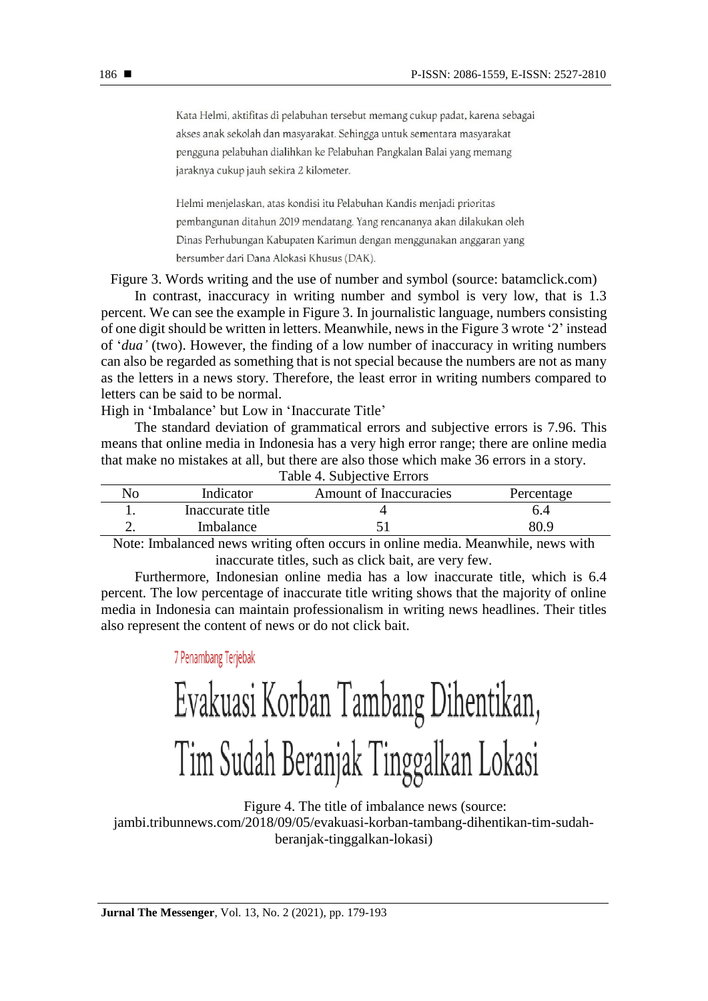Kata Helmi, aktifitas di pelabuhan tersebut memang cukup padat, karena sebagai akses anak sekolah dan masyarakat. Sehingga untuk sementara masyarakat pengguna pelabuhan dialihkan ke Pelabuhan Pangkalan Balai yang memang jaraknya cukup jauh sekira 2 kilometer.

Helmi menjelaskan, atas kondisi itu Pelabuhan Kandis menjadi prioritas pembangunan ditahun 2019 mendatang. Yang rencananya akan dilakukan oleh Dinas Perhubungan Kabupaten Karimun dengan menggunakan anggaran yang bersumber dari Dana Alokasi Khusus (DAK).

Figure 3. Words writing and the use of number and symbol (source: batamclick.com)

In contrast, inaccuracy in writing number and symbol is very low, that is 1.3 percent. We can see the example in Figure 3. In journalistic language, numbers consisting of one digit should be written in letters. Meanwhile, news in the Figure 3 wrote '2' instead of '*dua'* (two). However, the finding of a low number of inaccuracy in writing numbers can also be regarded as something that is not special because the numbers are not as many as the letters in a news story. Therefore, the least error in writing numbers compared to letters can be said to be normal.

High in 'Imbalance' but Low in 'Inaccurate Title'

The standard deviation of grammatical errors and subjective errors is 7.96. This means that online media in Indonesia has a very high error range; there are online media that make no mistakes at all, but there are also those which make 36 errors in a story. Table 4. Subjective Errors

| Table 4. Subjective Eliois |                  |                        |            |  |
|----------------------------|------------------|------------------------|------------|--|
| No                         | Indicator        | Amount of Inaccuracies | Percentage |  |
|                            | Inaccurate title |                        | 6.4        |  |
|                            | Imbalance        |                        | 80.9       |  |
|                            |                  |                        |            |  |

Note: Imbalanced news writing often occurs in online media. Meanwhile, news with inaccurate titles, such as click bait, are very few.

Furthermore, Indonesian online media has a low inaccurate title, which is 6.4 percent. The low percentage of inaccurate title writing shows that the majority of online media in Indonesia can maintain professionalism in writing news headlines. Their titles also represent the content of news or do not click bait.

## 7 Penambang Terjebak

# Evakuasi Korban Tambang Dihentikan, Tim Sudah Beranjak Tinggalkan Lokasi

Figure 4. The title of imbalance news (source: jambi.tribunnews.com/2018/09/05/evakuasi-korban-tambang-dihentikan-tim-sudahberanjak-tinggalkan-lokasi)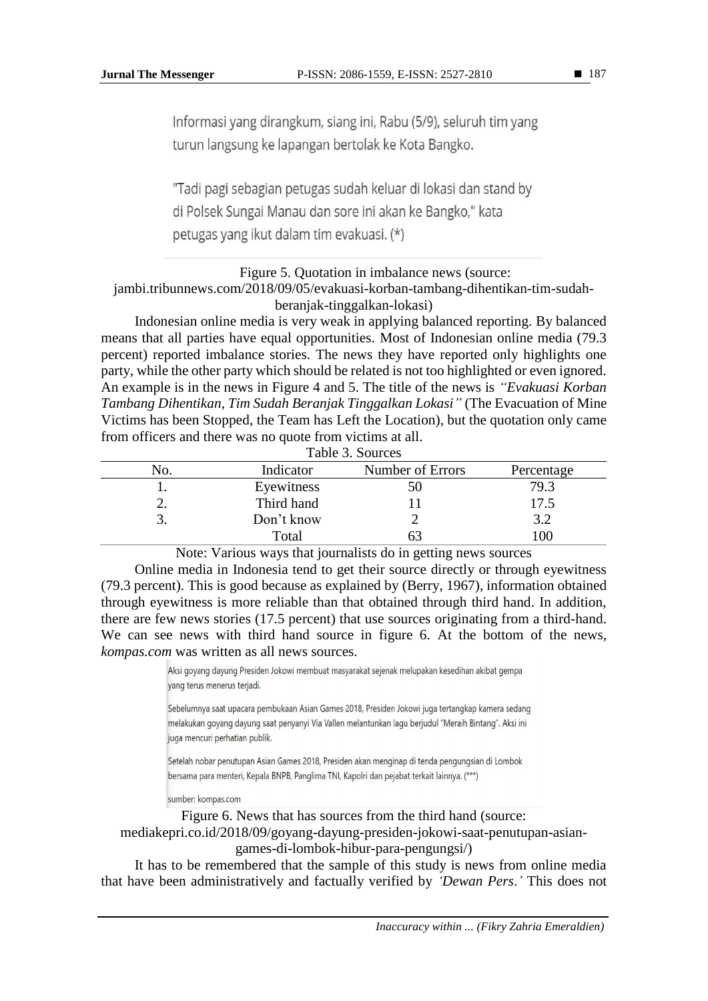■ 187

Informasi yang dirangkum, siang ini, Rabu (5/9), seluruh tim yang turun langsung ke lapangan bertolak ke Kota Bangko.

"Tadi pagi sebagian petugas sudah keluar di lokasi dan stand by di Polsek Sungai Manau dan sore ini akan ke Bangko," kata petugas yang ikut dalam tim evakuasi. (\*)

## Figure 5. Quotation in imbalance news (source: jambi.tribunnews.com/2018/09/05/evakuasi-korban-tambang-dihentikan-tim-sudahberanjak-tinggalkan-lokasi)

Indonesian online media is very weak in applying balanced reporting. By balanced means that all parties have equal opportunities. Most of Indonesian online media (79.3 percent) reported imbalance stories. The news they have reported only highlights one party, while the other party which should be related is not too highlighted or even ignored. An example is in the news in Figure 4 and 5. The title of the news is *"Evakuasi Korban Tambang Dihentikan, Tim Sudah Beranjak Tinggalkan Lokasi"* (The Evacuation of Mine Victims has been Stopped, the Team has Left the Location), but the quotation only came from officers and there was no quote from victims at all.

| Table 3. Sources |            |                  |            |
|------------------|------------|------------------|------------|
| No.              | Indicator  | Number of Errors | Percentage |
|                  | Eyewitness | ςU               | 79.3       |
|                  | Third hand |                  | 17.5       |
|                  | Don't know |                  |            |
|                  | Total      |                  | 100        |

Note: Various ways that journalists do in getting news sources

Online media in Indonesia tend to get their source directly or through eyewitness (79.3 percent). This is good because as explained by (Berry, 1967), information obtained through eyewitness is more reliable than that obtained through third hand. In addition, there are few news stories (17.5 percent) that use sources originating from a third-hand. We can see news with third hand source in figure 6. At the bottom of the news, *kompas.com* was written as all news sources.

> Aksi goyang dayung Presiden Jokowi membuat masyarakat sejenak melupakan kesedihan akibat gempa yang terus menerus terjadi.

Sebelumnya saat upacara pembukaan Asian Games 2018, Presiden Jokowi juga tertangkap kamera sedang melakukan goyang dayung saat penyanyi Via Vallen melantunkan lagu berjudul "Meraih Bintang". Aksi ini juga mencuri perhatian publik.

Setelah nobar penutupan Asian Games 2018, Presiden akan menginap di tenda pengungsian di Lombok bersama para menteri, Kepala BNPB, Panglima TNI, Kapolri dan pejabat terkait lainnya. (\*\*\*)

sumber: kompas.com

Figure 6. News that has sources from the third hand (source: mediakepri.co.id/2018/09/goyang-dayung-presiden-jokowi-saat-penutupan-asiangames-di-lombok-hibur-para-pengungsi/)

It has to be remembered that the sample of this study is news from online media that have been administratively and factually verified by *'Dewan Pers*.*'* This does not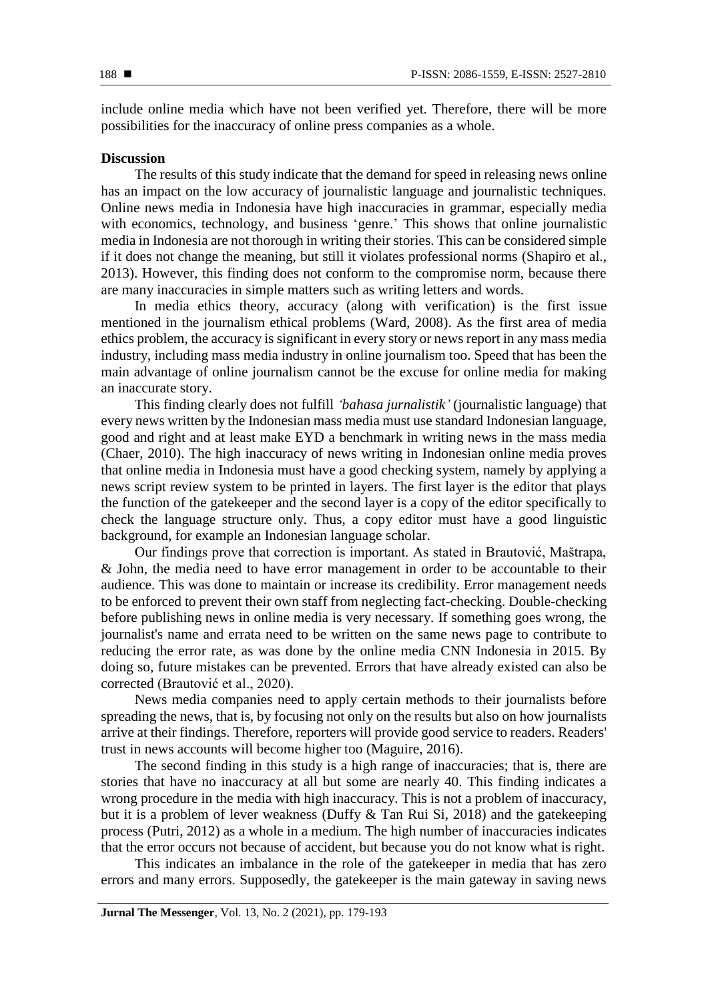include online media which have not been verified yet. Therefore, there will be more possibilities for the inaccuracy of online press companies as a whole.

### **Discussion**

The results of this study indicate that the demand for speed in releasing news online has an impact on the low accuracy of journalistic language and journalistic techniques. Online news media in Indonesia have high inaccuracies in grammar, especially media with economics, technology, and business 'genre.' This shows that online journalistic media in Indonesia are not thorough in writing their stories. This can be considered simple if it does not change the meaning, but still it violates professional norms (Shapiro et al., 2013). However, this finding does not conform to the compromise norm, because there are many inaccuracies in simple matters such as writing letters and words.

In media ethics theory, accuracy (along with verification) is the first issue mentioned in the journalism ethical problems (Ward, 2008). As the first area of media ethics problem, the accuracy is significant in every story or news report in any mass media industry, including mass media industry in online journalism too. Speed that has been the main advantage of online journalism cannot be the excuse for online media for making an inaccurate story.

This finding clearly does not fulfill *'bahasa jurnalistik'* (journalistic language) that every news written by the Indonesian mass media must use standard Indonesian language, good and right and at least make EYD a benchmark in writing news in the mass media (Chaer, 2010). The high inaccuracy of news writing in Indonesian online media proves that online media in Indonesia must have a good checking system, namely by applying a news script review system to be printed in layers. The first layer is the editor that plays the function of the gatekeeper and the second layer is a copy of the editor specifically to check the language structure only. Thus, a copy editor must have a good linguistic background, for example an Indonesian language scholar.

Our findings prove that correction is important. As stated in Brautović, Maštrapa, & John, the media need to have error management in order to be accountable to their audience. This was done to maintain or increase its credibility. Error management needs to be enforced to prevent their own staff from neglecting fact-checking. Double-checking before publishing news in online media is very necessary. If something goes wrong, the journalist's name and errata need to be written on the same news page to contribute to reducing the error rate, as was done by the online media CNN Indonesia in 2015. By doing so, future mistakes can be prevented. Errors that have already existed can also be corrected (Brautović et al., 2020).

News media companies need to apply certain methods to their journalists before spreading the news, that is, by focusing not only on the results but also on how journalists arrive at their findings. Therefore, reporters will provide good service to readers. Readers' trust in news accounts will become higher too (Maguire, 2016).

The second finding in this study is a high range of inaccuracies; that is, there are stories that have no inaccuracy at all but some are nearly 40. This finding indicates a wrong procedure in the media with high inaccuracy. This is not a problem of inaccuracy, but it is a problem of lever weakness (Duffy & Tan Rui Si, 2018) and the gatekeeping process (Putri, 2012) as a whole in a medium. The high number of inaccuracies indicates that the error occurs not because of accident, but because you do not know what is right.

This indicates an imbalance in the role of the gatekeeper in media that has zero errors and many errors. Supposedly, the gatekeeper is the main gateway in saving news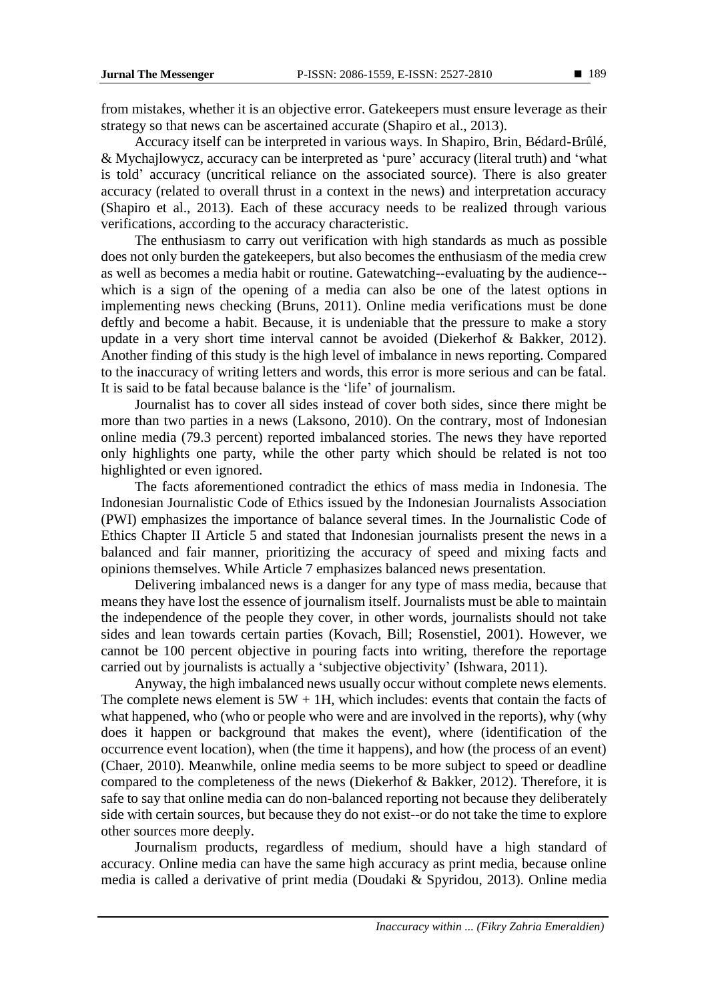from mistakes, whether it is an objective error. Gatekeepers must ensure leverage as their strategy so that news can be ascertained accurate (Shapiro et al., 2013).

Accuracy itself can be interpreted in various ways. In Shapiro, Brin, Bédard-Brûlé, & Mychajlowycz, accuracy can be interpreted as 'pure' accuracy (literal truth) and 'what is told' accuracy (uncritical reliance on the associated source). There is also greater accuracy (related to overall thrust in a context in the news) and interpretation accuracy (Shapiro et al., 2013). Each of these accuracy needs to be realized through various verifications, according to the accuracy characteristic.

The enthusiasm to carry out verification with high standards as much as possible does not only burden the gatekeepers, but also becomes the enthusiasm of the media crew as well as becomes a media habit or routine. Gatewatching--evaluating by the audience- which is a sign of the opening of a media can also be one of the latest options in implementing news checking (Bruns, 2011). Online media verifications must be done deftly and become a habit. Because, it is undeniable that the pressure to make a story update in a very short time interval cannot be avoided (Diekerhof & Bakker, 2012). Another finding of this study is the high level of imbalance in news reporting. Compared to the inaccuracy of writing letters and words, this error is more serious and can be fatal. It is said to be fatal because balance is the 'life' of journalism.

Journalist has to cover all sides instead of cover both sides, since there might be more than two parties in a news (Laksono, 2010). On the contrary, most of Indonesian online media (79.3 percent) reported imbalanced stories. The news they have reported only highlights one party, while the other party which should be related is not too highlighted or even ignored.

The facts aforementioned contradict the ethics of mass media in Indonesia. The Indonesian Journalistic Code of Ethics issued by the Indonesian Journalists Association (PWI) emphasizes the importance of balance several times. In the Journalistic Code of Ethics Chapter II Article 5 and stated that Indonesian journalists present the news in a balanced and fair manner, prioritizing the accuracy of speed and mixing facts and opinions themselves. While Article 7 emphasizes balanced news presentation.

Delivering imbalanced news is a danger for any type of mass media, because that means they have lost the essence of journalism itself. Journalists must be able to maintain the independence of the people they cover, in other words, journalists should not take sides and lean towards certain parties (Kovach, Bill; Rosenstiel, 2001). However, we cannot be 100 percent objective in pouring facts into writing, therefore the reportage carried out by journalists is actually a 'subjective objectivity' (Ishwara, 2011).

Anyway, the high imbalanced news usually occur without complete news elements. The complete news element is  $5W + 1H$ , which includes: events that contain the facts of what happened, who (who or people who were and are involved in the reports), why (why does it happen or background that makes the event), where (identification of the occurrence event location), when (the time it happens), and how (the process of an event) (Chaer, 2010). Meanwhile, online media seems to be more subject to speed or deadline compared to the completeness of the news (Diekerhof & Bakker, 2012). Therefore, it is safe to say that online media can do non-balanced reporting not because they deliberately side with certain sources, but because they do not exist--or do not take the time to explore other sources more deeply.

Journalism products, regardless of medium, should have a high standard of accuracy. Online media can have the same high accuracy as print media, because online media is called a derivative of print media (Doudaki & Spyridou, 2013). Online media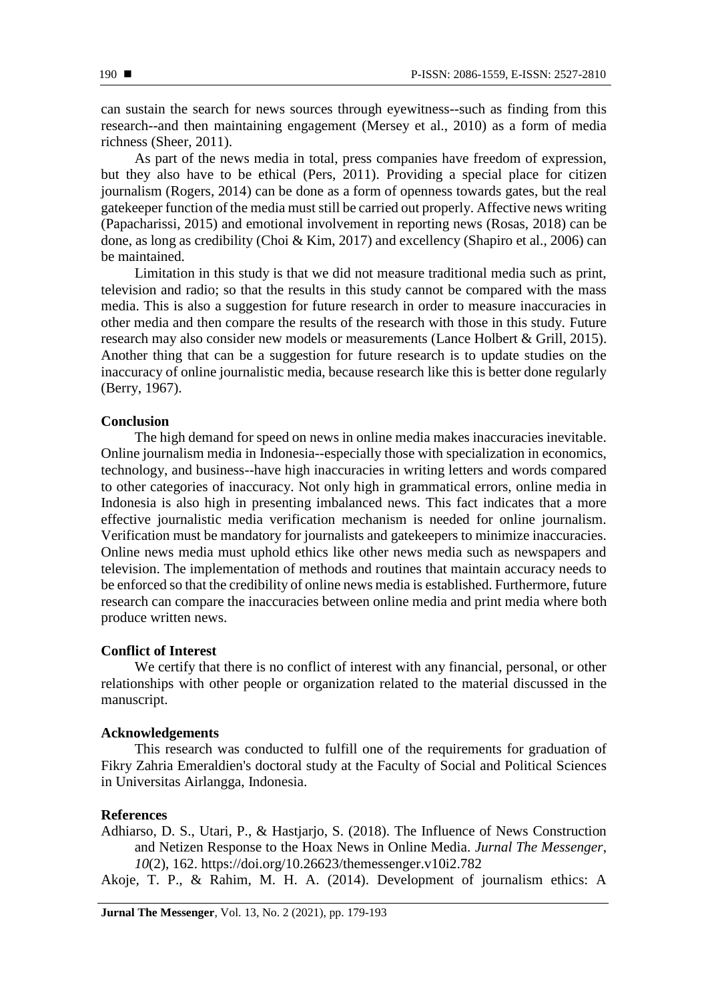can sustain the search for news sources through eyewitness--such as finding from this research--and then maintaining engagement (Mersey et al., 2010) as a form of media richness (Sheer, 2011).

As part of the news media in total, press companies have freedom of expression, but they also have to be ethical (Pers, 2011). Providing a special place for citizen journalism (Rogers, 2014) can be done as a form of openness towards gates, but the real gatekeeper function of the media must still be carried out properly. Affective news writing (Papacharissi, 2015) and emotional involvement in reporting news (Rosas, 2018) can be done, as long as credibility (Choi & Kim, 2017) and excellency (Shapiro et al., 2006) can be maintained.

Limitation in this study is that we did not measure traditional media such as print, television and radio; so that the results in this study cannot be compared with the mass media. This is also a suggestion for future research in order to measure inaccuracies in other media and then compare the results of the research with those in this study. Future research may also consider new models or measurements (Lance Holbert & Grill, 2015). Another thing that can be a suggestion for future research is to update studies on the inaccuracy of online journalistic media, because research like this is better done regularly (Berry, 1967).

### **Conclusion**

The high demand for speed on news in online media makes inaccuracies inevitable. Online journalism media in Indonesia--especially those with specialization in economics, technology, and business*-*-have high inaccuracies in writing letters and words compared to other categories of inaccuracy. Not only high in grammatical errors, online media in Indonesia is also high in presenting imbalanced news. This fact indicates that a more effective journalistic media verification mechanism is needed for online journalism. Verification must be mandatory for journalists and gatekeepers to minimize inaccuracies. Online news media must uphold ethics like other news media such as newspapers and television. The implementation of methods and routines that maintain accuracy needs to be enforced so that the credibility of online news media is established. Furthermore, future research can compare the inaccuracies between online media and print media where both produce written news.

### **Conflict of Interest**

We certify that there is no conflict of interest with any financial, personal, or other relationships with other people or organization related to the material discussed in the manuscript.

### **Acknowledgements**

This research was conducted to fulfill one of the requirements for graduation of Fikry Zahria Emeraldien's doctoral study at the Faculty of Social and Political Sciences in Universitas Airlangga, Indonesia.

### **References**

Adhiarso, D. S., Utari, P., & Hastjarjo, S. (2018). The Influence of News Construction and Netizen Response to the Hoax News in Online Media. *Jurnal The Messenger*, *10*(2), 162. https://doi.org/10.26623/themessenger.v10i2.782

Akoje, T. P., & Rahim, M. H. A. (2014). Development of journalism ethics: A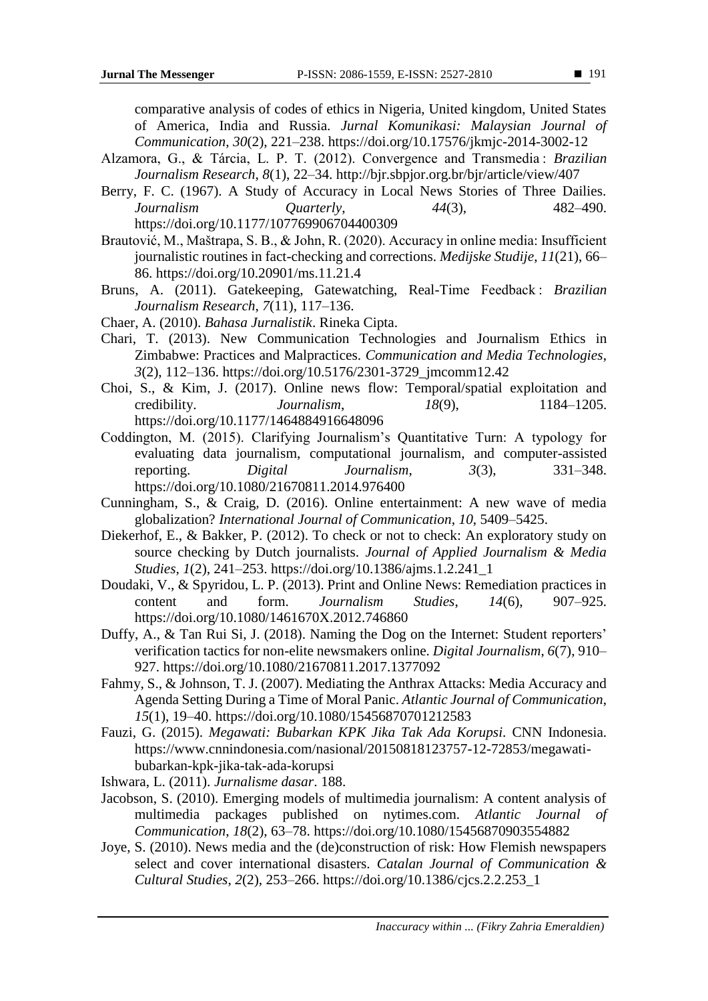comparative analysis of codes of ethics in Nigeria, United kingdom, United States of America, India and Russia. *Jurnal Komunikasi: Malaysian Journal of Communication*, *30*(2), 221–238. https://doi.org/10.17576/jkmjc-2014-3002-12

- Alzamora, G., & Tárcia, L. P. T. (2012). Convergence and Transmedia : *Brazilian Journalism Research*, *8*(1), 22–34. http://bjr.sbpjor.org.br/bjr/article/view/407
- Berry, F. C. (1967). A Study of Accuracy in Local News Stories of Three Dailies. *Journalism Quarterly*, *44*(3), 482–490. https://doi.org/10.1177/107769906704400309
- Brautović, M., Maštrapa, S. B., & John, R. (2020). Accuracy in online media: Insufficient journalistic routines in fact-checking and corrections. *Medijske Studije*, *11*(21), 66– 86. https://doi.org/10.20901/ms.11.21.4
- Bruns, A. (2011). Gatekeeping, Gatewatching, Real-Time Feedback : *Brazilian Journalism Research*, *7*(11), 117–136.
- Chaer, A. (2010). *Bahasa Jurnalistik*. Rineka Cipta.
- Chari, T. (2013). New Communication Technologies and Journalism Ethics in Zimbabwe: Practices and Malpractices. *Communication and Media Technologies*, *3*(2), 112–136. https://doi.org/10.5176/2301-3729\_jmcomm12.42
- Choi, S., & Kim, J. (2017). Online news flow: Temporal/spatial exploitation and credibility. *Journalism*, *18*(9), 1184–1205. https://doi.org/10.1177/1464884916648096
- Coddington, M. (2015). Clarifying Journalism's Quantitative Turn: A typology for evaluating data journalism, computational journalism, and computer-assisted reporting. *Digital Journalism*, *3*(3), 331–348. https://doi.org/10.1080/21670811.2014.976400
- Cunningham, S., & Craig, D. (2016). Online entertainment: A new wave of media globalization? *International Journal of Communication*, *10*, 5409–5425.
- Diekerhof, E., & Bakker, P. (2012). To check or not to check: An exploratory study on source checking by Dutch journalists. *Journal of Applied Journalism & Media Studies*, *1*(2), 241–253. https://doi.org/10.1386/ajms.1.2.241\_1
- Doudaki, V., & Spyridou, L. P. (2013). Print and Online News: Remediation practices in content and form. *Journalism Studies*, *14*(6), 907–925. https://doi.org/10.1080/1461670X.2012.746860
- Duffy, A., & Tan Rui Si, J. (2018). Naming the Dog on the Internet: Student reporters' verification tactics for non-elite newsmakers online. *Digital Journalism*, *6*(7), 910– 927. https://doi.org/10.1080/21670811.2017.1377092
- Fahmy, S., & Johnson, T. J. (2007). Mediating the Anthrax Attacks: Media Accuracy and Agenda Setting During a Time of Moral Panic. *Atlantic Journal of Communication*, *15*(1), 19–40. https://doi.org/10.1080/15456870701212583
- Fauzi, G. (2015). *Megawati: Bubarkan KPK Jika Tak Ada Korupsi.* CNN Indonesia. https://www.cnnindonesia.com/nasional/20150818123757-12-72853/megawatibubarkan-kpk-jika-tak-ada-korupsi
- Ishwara, L. (2011). *Jurnalisme dasar*. 188.
- Jacobson, S. (2010). Emerging models of multimedia journalism: A content analysis of multimedia packages published on nytimes.com. *Atlantic Journal of Communication*, *18*(2), 63–78. https://doi.org/10.1080/15456870903554882
- Joye, S. (2010). News media and the (de)construction of risk: How Flemish newspapers select and cover international disasters. *Catalan Journal of Communication & Cultural Studies*, *2*(2), 253–266. https://doi.org/10.1386/cjcs.2.2.253\_1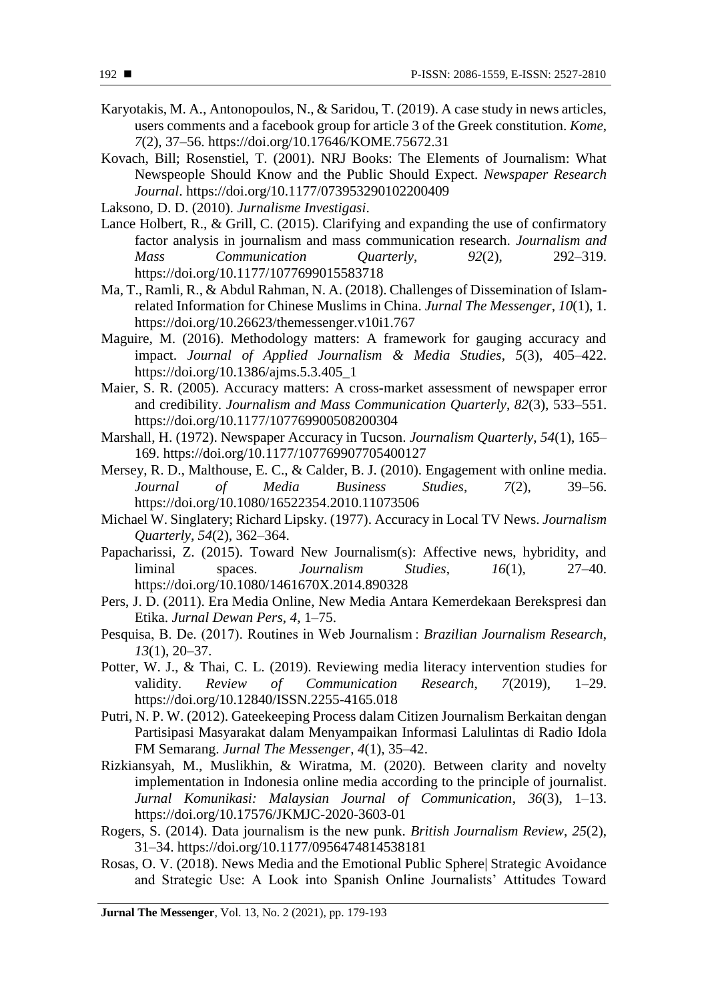- Karyotakis, M. A., Antonopoulos, N., & Saridou, T. (2019). A case study in news articles, users comments and a facebook group for article 3 of the Greek constitution. *Kome*, *7*(2), 37–56. https://doi.org/10.17646/KOME.75672.31
- Kovach, Bill; Rosenstiel, T. (2001). NRJ Books: The Elements of Journalism: What Newspeople Should Know and the Public Should Expect. *Newspaper Research Journal*. https://doi.org/10.1177/073953290102200409
- Laksono, D. D. (2010). *Jurnalisme Investigasi*.
- Lance Holbert, R., & Grill, C. (2015). Clarifying and expanding the use of confirmatory factor analysis in journalism and mass communication research. *Journalism and Mass Communication Quarterly*, *92*(2), 292–319. https://doi.org/10.1177/1077699015583718
- Ma, T., Ramli, R., & Abdul Rahman, N. A. (2018). Challenges of Dissemination of Islamrelated Information for Chinese Muslims in China. *Jurnal The Messenger*, *10*(1), 1. https://doi.org/10.26623/themessenger.v10i1.767
- Maguire, M. (2016). Methodology matters: A framework for gauging accuracy and impact. *Journal of Applied Journalism & Media Studies*, *5*(3), 405–422. https://doi.org/10.1386/ajms.5.3.405\_1
- Maier, S. R. (2005). Accuracy matters: A cross-market assessment of newspaper error and credibility. *Journalism and Mass Communication Quarterly*, *82*(3), 533–551. https://doi.org/10.1177/107769900508200304
- Marshall, H. (1972). Newspaper Accuracy in Tucson. *Journalism Quarterly*, *54*(1), 165– 169. https://doi.org/10.1177/107769907705400127
- Mersey, R. D., Malthouse, E. C., & Calder, B. J. (2010). Engagement with online media. *Journal of Media Business Studies*, *7*(2), 39–56. https://doi.org/10.1080/16522354.2010.11073506
- Michael W. Singlatery; Richard Lipsky. (1977). Accuracy in Local TV News. *Journalism Quarterly*, *54*(2), 362–364.
- Papacharissi, Z. (2015). Toward New Journalism(s): Affective news, hybridity, and liminal spaces. *Journalism Studies*, *16*(1), 27–40. https://doi.org/10.1080/1461670X.2014.890328
- Pers, J. D. (2011). Era Media Online, New Media Antara Kemerdekaan Berekspresi dan Etika. *Jurnal Dewan Pers*, *4*, 1–75.
- Pesquisa, B. De. (2017). Routines in Web Journalism : *Brazilian Journalism Research*, *13*(1), 20–37.
- Potter, W. J., & Thai, C. L. (2019). Reviewing media literacy intervention studies for validity. *Review of Communication Research*, *7*(2019), 1–29. https://doi.org/10.12840/ISSN.2255-4165.018
- Putri, N. P. W. (2012). Gateekeeping Process dalam Citizen Journalism Berkaitan dengan Partisipasi Masyarakat dalam Menyampaikan Informasi Lalulintas di Radio Idola FM Semarang. *Jurnal The Messenger*, *4*(1), 35–42.
- Rizkiansyah, M., Muslikhin, & Wiratma, M. (2020). Between clarity and novelty implementation in Indonesia online media according to the principle of journalist. *Jurnal Komunikasi: Malaysian Journal of Communication*, *36*(3), 1–13. https://doi.org/10.17576/JKMJC-2020-3603-01
- Rogers, S. (2014). Data journalism is the new punk. *British Journalism Review*, *25*(2), 31–34. https://doi.org/10.1177/0956474814538181
- Rosas, O. V. (2018). News Media and the Emotional Public Sphere| Strategic Avoidance and Strategic Use: A Look into Spanish Online Journalists' Attitudes Toward

**Jurnal The Messenger**, Vol. 13, No. 2 (2021), pp. 179-193